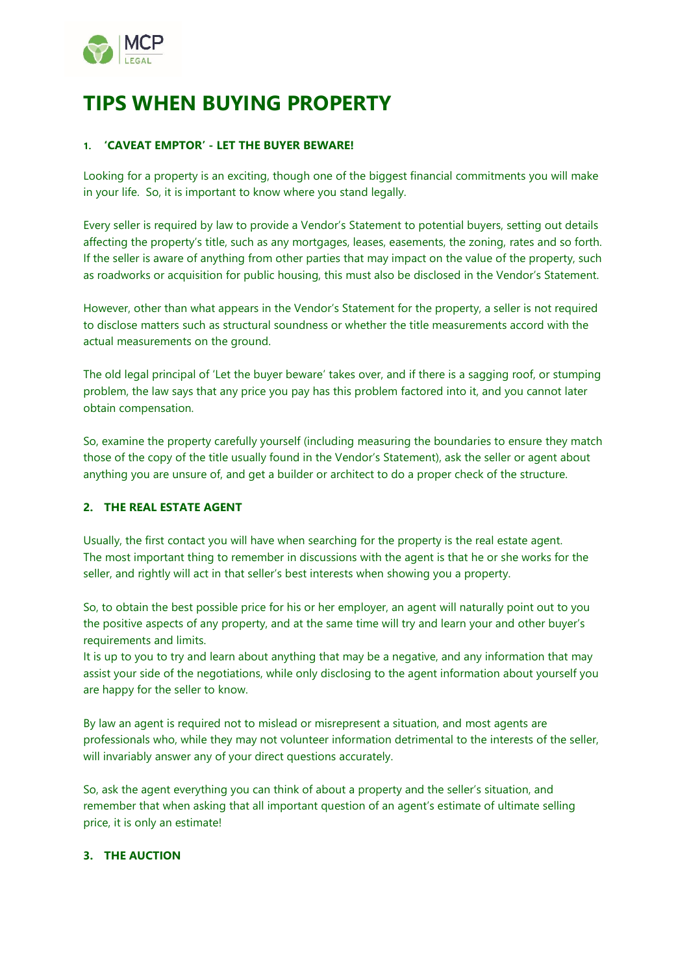

# **TIPS WHEN BUYING PROPERTY**

# **1. 'CAVEAT EMPTOR' - LET THE BUYER BEWARE!**

Looking for a property is an exciting, though one of the biggest financial commitments you will make in your life. So, it is important to know where you stand legally.

Every seller is required by law to provide a Vendor's Statement to potential buyers, setting out details affecting the property's title, such as any mortgages, leases, easements, the zoning, rates and so forth. If the seller is aware of anything from other parties that may impact on the value of the property, such as roadworks or acquisition for public housing, this must also be disclosed in the Vendor's Statement.

However, other than what appears in the Vendor's Statement for the property, a seller is not required to disclose matters such as structural soundness or whether the title measurements accord with the actual measurements on the ground.

The old legal principal of 'Let the buyer beware' takes over, and if there is a sagging roof, or stumping problem, the law says that any price you pay has this problem factored into it, and you cannot later obtain compensation.

So, examine the property carefully yourself (including measuring the boundaries to ensure they match those of the copy of the title usually found in the Vendor's Statement), ask the seller or agent about anything you are unsure of, and get a builder or architect to do a proper check of the structure.

# **2. THE REAL ESTATE AGENT**

Usually, the first contact you will have when searching for the property is the real estate agent. The most important thing to remember in discussions with the agent is that he or she works for the seller, and rightly will act in that seller's best interests when showing you a property.

So, to obtain the best possible price for his or her employer, an agent will naturally point out to you the positive aspects of any property, and at the same time will try and learn your and other buyer's requirements and limits.

It is up to you to try and learn about anything that may be a negative, and any information that may assist your side of the negotiations, while only disclosing to the agent information about yourself you are happy for the seller to know.

By law an agent is required not to mislead or misrepresent a situation, and most agents are professionals who, while they may not volunteer information detrimental to the interests of the seller, will invariably answer any of your direct questions accurately.

So, ask the agent everything you can think of about a property and the seller's situation, and remember that when asking that all important question of an agent's estimate of ultimate selling price, it is only an estimate!

#### **3. THE AUCTION**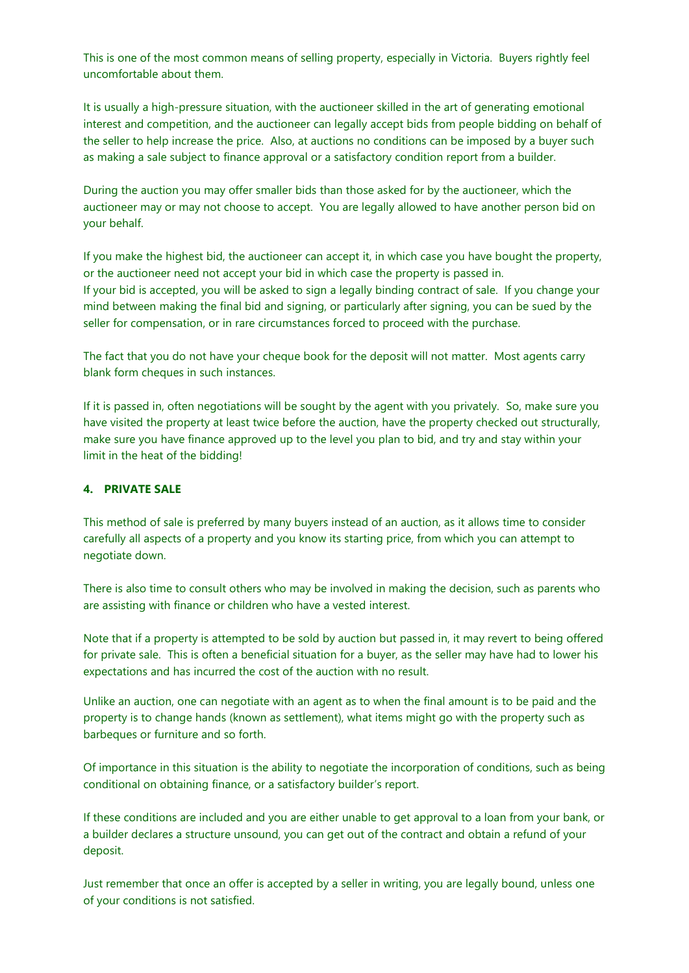This is one of the most common means of selling property, especially in Victoria. Buyers rightly feel uncomfortable about them.

It is usually a high-pressure situation, with the auctioneer skilled in the art of generating emotional interest and competition, and the auctioneer can legally accept bids from people bidding on behalf of the seller to help increase the price. Also, at auctions no conditions can be imposed by a buyer such as making a sale subject to finance approval or a satisfactory condition report from a builder.

During the auction you may offer smaller bids than those asked for by the auctioneer, which the auctioneer may or may not choose to accept. You are legally allowed to have another person bid on your behalf.

If you make the highest bid, the auctioneer can accept it, in which case you have bought the property, or the auctioneer need not accept your bid in which case the property is passed in. If your bid is accepted, you will be asked to sign a legally binding contract of sale. If you change your mind between making the final bid and signing, or particularly after signing, you can be sued by the seller for compensation, or in rare circumstances forced to proceed with the purchase.

The fact that you do not have your cheque book for the deposit will not matter. Most agents carry blank form cheques in such instances.

If it is passed in, often negotiations will be sought by the agent with you privately. So, make sure you have visited the property at least twice before the auction, have the property checked out structurally, make sure you have finance approved up to the level you plan to bid, and try and stay within your limit in the heat of the bidding!

## **4. PRIVATE SALE**

This method of sale is preferred by many buyers instead of an auction, as it allows time to consider carefully all aspects of a property and you know its starting price, from which you can attempt to negotiate down.

There is also time to consult others who may be involved in making the decision, such as parents who are assisting with finance or children who have a vested interest.

Note that if a property is attempted to be sold by auction but passed in, it may revert to being offered for private sale. This is often a beneficial situation for a buyer, as the seller may have had to lower his expectations and has incurred the cost of the auction with no result.

Unlike an auction, one can negotiate with an agent as to when the final amount is to be paid and the property is to change hands (known as settlement), what items might go with the property such as barbeques or furniture and so forth.

Of importance in this situation is the ability to negotiate the incorporation of conditions, such as being conditional on obtaining finance, or a satisfactory builder's report.

If these conditions are included and you are either unable to get approval to a loan from your bank, or a builder declares a structure unsound, you can get out of the contract and obtain a refund of your deposit.

Just remember that once an offer is accepted by a seller in writing, you are legally bound, unless one of your conditions is not satisfied.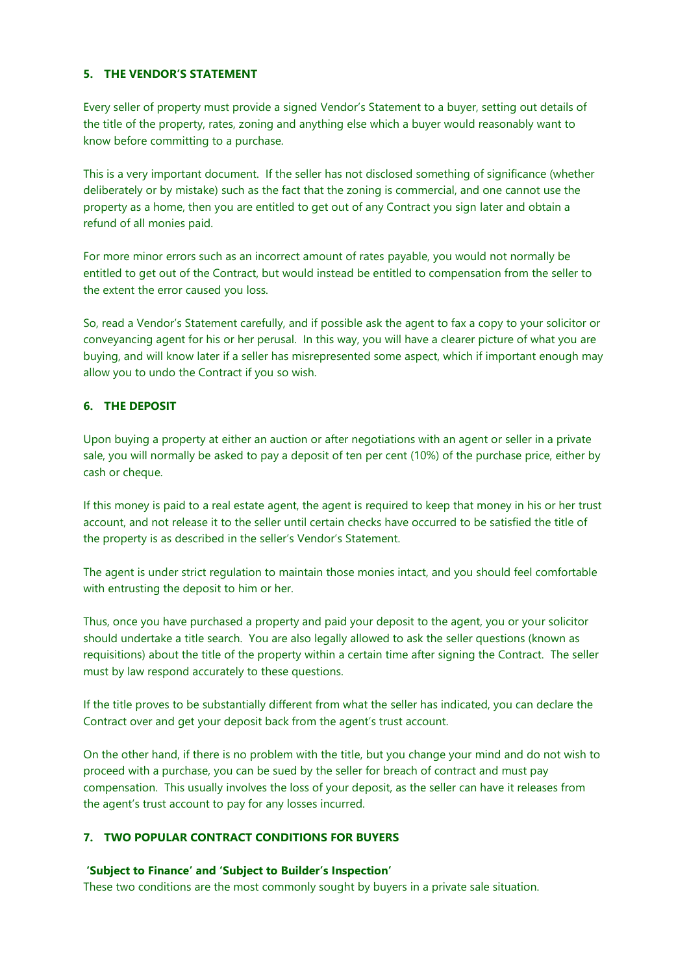# **5. THE VENDOR'S STATEMENT**

Every seller of property must provide a signed Vendor's Statement to a buyer, setting out details of the title of the property, rates, zoning and anything else which a buyer would reasonably want to know before committing to a purchase.

This is a very important document. If the seller has not disclosed something of significance (whether deliberately or by mistake) such as the fact that the zoning is commercial, and one cannot use the property as a home, then you are entitled to get out of any Contract you sign later and obtain a refund of all monies paid.

For more minor errors such as an incorrect amount of rates payable, you would not normally be entitled to get out of the Contract, but would instead be entitled to compensation from the seller to the extent the error caused you loss.

So, read a Vendor's Statement carefully, and if possible ask the agent to fax a copy to your solicitor or conveyancing agent for his or her perusal. In this way, you will have a clearer picture of what you are buying, and will know later if a seller has misrepresented some aspect, which if important enough may allow you to undo the Contract if you so wish.

## **6. THE DEPOSIT**

Upon buying a property at either an auction or after negotiations with an agent or seller in a private sale, you will normally be asked to pay a deposit of ten per cent (10%) of the purchase price, either by cash or cheque.

If this money is paid to a real estate agent, the agent is required to keep that money in his or her trust account, and not release it to the seller until certain checks have occurred to be satisfied the title of the property is as described in the seller's Vendor's Statement.

The agent is under strict regulation to maintain those monies intact, and you should feel comfortable with entrusting the deposit to him or her.

Thus, once you have purchased a property and paid your deposit to the agent, you or your solicitor should undertake a title search. You are also legally allowed to ask the seller questions (known as requisitions) about the title of the property within a certain time after signing the Contract. The seller must by law respond accurately to these questions.

If the title proves to be substantially different from what the seller has indicated, you can declare the Contract over and get your deposit back from the agent's trust account.

On the other hand, if there is no problem with the title, but you change your mind and do not wish to proceed with a purchase, you can be sued by the seller for breach of contract and must pay compensation. This usually involves the loss of your deposit, as the seller can have it releases from the agent's trust account to pay for any losses incurred.

#### **7. TWO POPULAR CONTRACT CONDITIONS FOR BUYERS**

#### **'Subject to Finance' and 'Subject to Builder's Inspection'**

These two conditions are the most commonly sought by buyers in a private sale situation.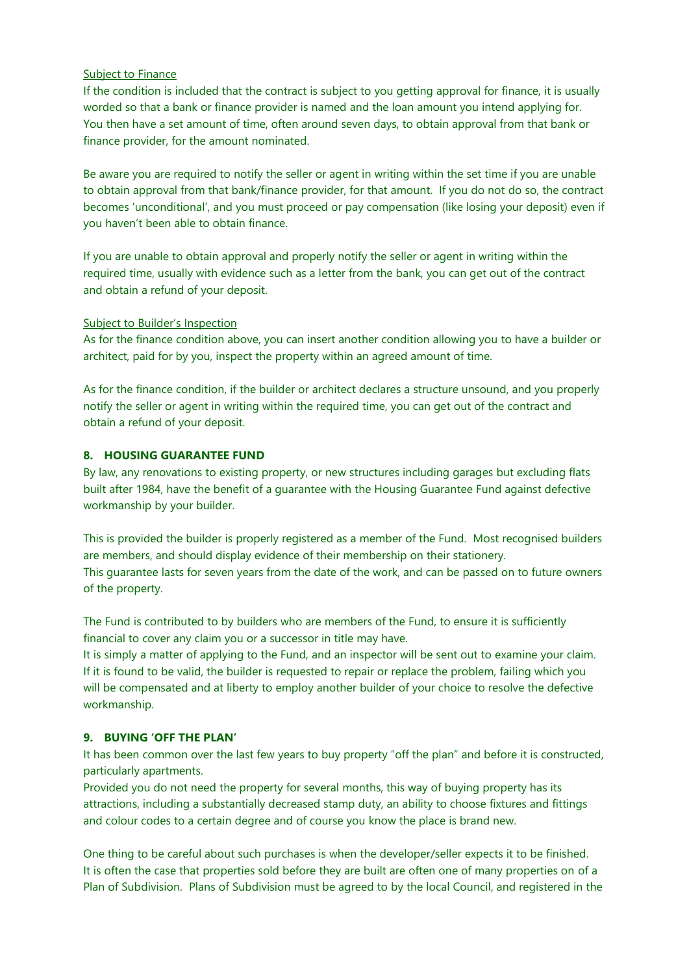#### Subject to Finance

If the condition is included that the contract is subject to you getting approval for finance, it is usually worded so that a bank or finance provider is named and the loan amount you intend applying for. You then have a set amount of time, often around seven days, to obtain approval from that bank or finance provider, for the amount nominated.

Be aware you are required to notify the seller or agent in writing within the set time if you are unable to obtain approval from that bank/finance provider, for that amount. If you do not do so, the contract becomes 'unconditional', and you must proceed or pay compensation (like losing your deposit) even if you haven't been able to obtain finance.

If you are unable to obtain approval and properly notify the seller or agent in writing within the required time, usually with evidence such as a letter from the bank, you can get out of the contract and obtain a refund of your deposit.

#### Subject to Builder's Inspection

As for the finance condition above, you can insert another condition allowing you to have a builder or architect, paid for by you, inspect the property within an agreed amount of time.

As for the finance condition, if the builder or architect declares a structure unsound, and you properly notify the seller or agent in writing within the required time, you can get out of the contract and obtain a refund of your deposit.

## **8. HOUSING GUARANTEE FUND**

By law, any renovations to existing property, or new structures including garages but excluding flats built after 1984, have the benefit of a guarantee with the Housing Guarantee Fund against defective workmanship by your builder.

This is provided the builder is properly registered as a member of the Fund. Most recognised builders are members, and should display evidence of their membership on their stationery. This guarantee lasts for seven years from the date of the work, and can be passed on to future owners of the property.

The Fund is contributed to by builders who are members of the Fund, to ensure it is sufficiently financial to cover any claim you or a successor in title may have.

It is simply a matter of applying to the Fund, and an inspector will be sent out to examine your claim. If it is found to be valid, the builder is requested to repair or replace the problem, failing which you will be compensated and at liberty to employ another builder of your choice to resolve the defective workmanship.

# **9. BUYING 'OFF THE PLAN'**

It has been common over the last few years to buy property "off the plan" and before it is constructed, particularly apartments.

Provided you do not need the property for several months, this way of buying property has its attractions, including a substantially decreased stamp duty, an ability to choose fixtures and fittings and colour codes to a certain degree and of course you know the place is brand new.

One thing to be careful about such purchases is when the developer/seller expects it to be finished. It is often the case that properties sold before they are built are often one of many properties on of a Plan of Subdivision. Plans of Subdivision must be agreed to by the local Council, and registered in the